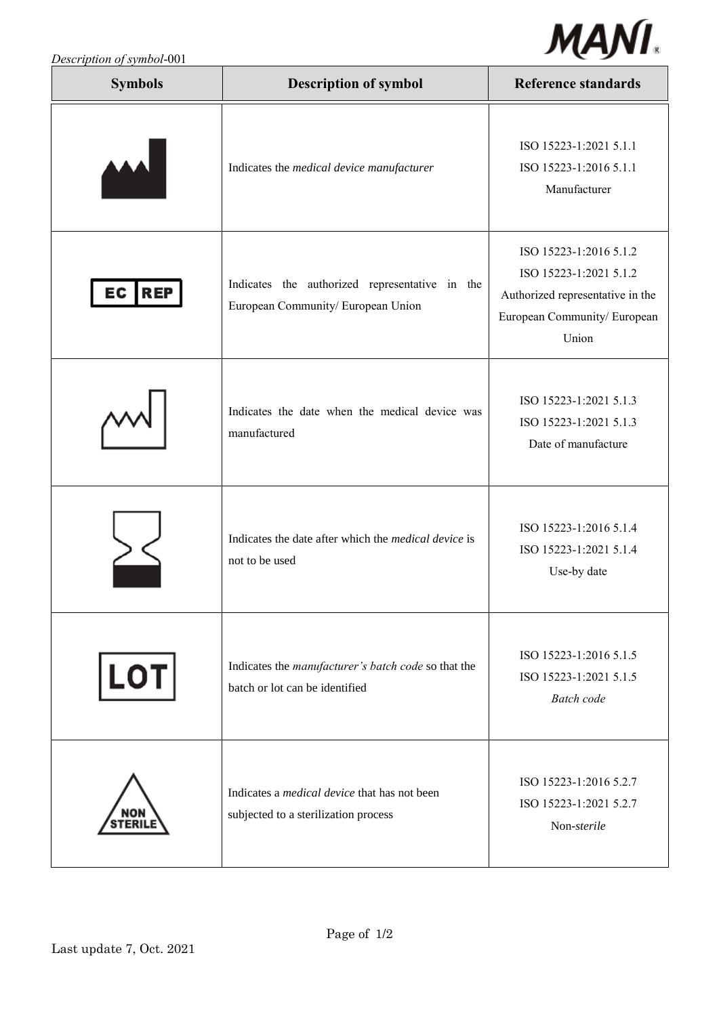

| Description of symbol-001 |  |
|---------------------------|--|
|                           |  |

| <b>Symbols</b>   | <b>Description of symbol</b>                                                                | <b>Reference standards</b>                                                                                                    |
|------------------|---------------------------------------------------------------------------------------------|-------------------------------------------------------------------------------------------------------------------------------|
|                  | Indicates the medical device manufacturer                                                   | ISO 15223-1:2021 5.1.1<br>ISO 15223-1:2016 5.1.1<br>Manufacturer                                                              |
| EC<br><b>REP</b> | Indicates the authorized representative in the<br>European Community/ European Union        | ISO 15223-1:2016 5.1.2<br>ISO 15223-1:2021 5.1.2<br>Authorized representative in the<br>European Community/ European<br>Union |
|                  | Indicates the date when the medical device was<br>manufactured                              | ISO 15223-1:2021 5.1.3<br>ISO 15223-1:2021 5.1.3<br>Date of manufacture                                                       |
|                  | Indicates the date after which the <i>medical device</i> is<br>not to be used               | ISO 15223-1:2016 5.1.4<br>ISO 15223-1:2021 5.1.4<br>Use-by date                                                               |
| $ $ LOT $ $      | Indicates the manufacturer's batch code so that the<br>batch or lot can be identified       | ISO 15223-1:2016 5.1.5<br>ISO 15223-1:2021 5.1.5<br><b>Batch</b> code                                                         |
|                  | Indicates a <i>medical device</i> that has not been<br>subjected to a sterilization process | ISO 15223-1:2016 5.2.7<br>ISO 15223-1:2021 5.2.7<br>Non-sterile                                                               |